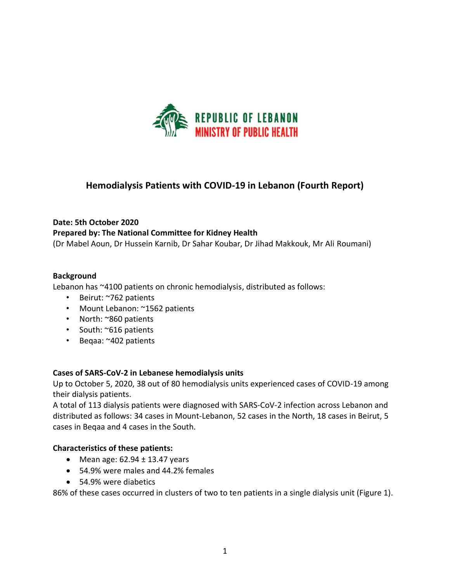

# **Hemodialysis Patients with COVID-19 in Lebanon (Fourth Report)**

### **Date: 5th October 2020**

# **Prepared by: The National Committee for Kidney Health**

(Dr Mabel Aoun, Dr Hussein Karnib, Dr Sahar Koubar, Dr Jihad Makkouk, Mr Ali Roumani)

### **Background**

Lebanon has ~4100 patients on chronic hemodialysis, distributed as follows:

- Beirut: ~762 patients
- Mount Lebanon: ~1562 patients
- North: ~860 patients
- South: ~616 patients
- Beqaa: ~402 patients

# **Cases of SARS-CoV-2 in Lebanese hemodialysis units**

Up to October 5, 2020, 38 out of 80 hemodialysis units experienced cases of COVID-19 among their dialysis patients.

A total of 113 dialysis patients were diagnosed with SARS-CoV-2 infection across Lebanon and distributed as follows: 34 cases in Mount-Lebanon, 52 cases in the North, 18 cases in Beirut, 5 cases in Beqaa and 4 cases in the South.

#### **Characteristics of these patients:**

- Mean age:  $62.94 \pm 13.47$  years
- 54.9% were males and 44.2% females
- 54.9% were diabetics

86% of these cases occurred in clusters of two to ten patients in a single dialysis unit (Figure 1).